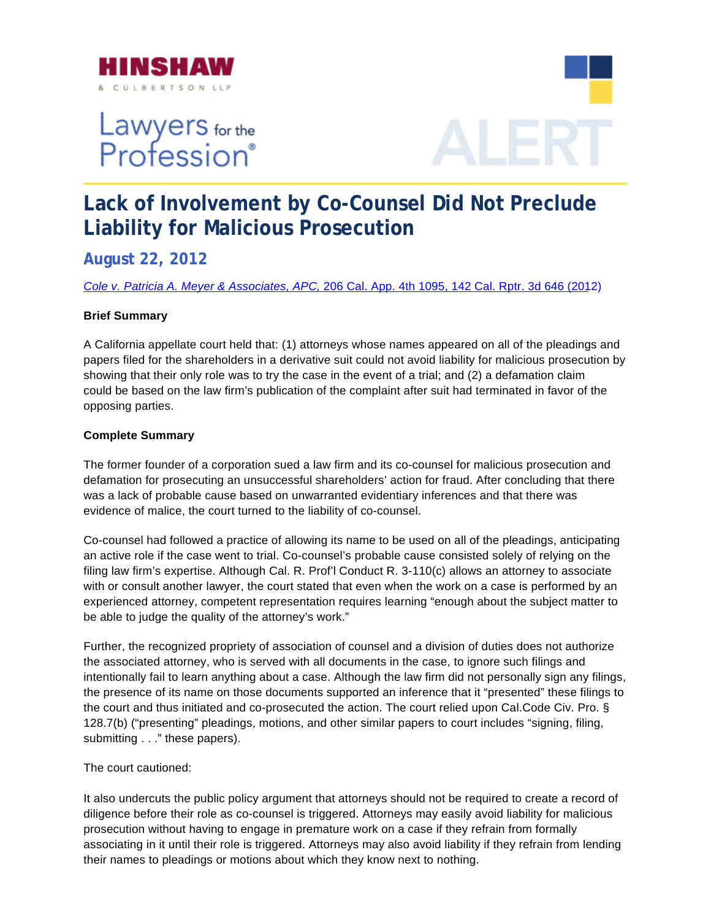

# Lawyers for the<br>Profession®



## **Lack of Involvement by Co-Counsel Did Not Preclude Liability for Malicious Prosecution**

**August 22, 2012** 

*[Cole v. Patricia A. Meyer & Associates, APC,](http://www.rcfp.org/sites/default/files/docs/20120612_152057_boucheropinion.pdf)* 206 Cal. App. 4th 1095, 142 Cal. Rptr. 3d 646 (2012)

### **Brief Summary**

A California appellate court held that: (1) attorneys whose names appeared on all of the pleadings and papers filed for the shareholders in a derivative suit could not avoid liability for malicious prosecution by showing that their only role was to try the case in the event of a trial; and (2) a defamation claim could be based on the law firm's publication of the complaint after suit had terminated in favor of the opposing parties.

### **Complete Summary**

The former founder of a corporation sued a law firm and its co-counsel for malicious prosecution and defamation for prosecuting an unsuccessful shareholders' action for fraud. After concluding that there was a lack of probable cause based on unwarranted evidentiary inferences and that there was evidence of malice, the court turned to the liability of co-counsel.

filing law firm's expertise. Although Cal. R. Prof'l Conduct R. 3-110(c) allows an attorney to associate with or consult another lawyer, the court stated that even when the work on a case is performed by an Co-counsel had followed a practice of allowing its name to be used on all of the pleadings, anticipating an active role if the case went to trial. Co-counsel's probable cause consisted solely of relying on the experienced attorney, competent representation requires learning "enough about the subject matter to be able to judge the quality of the attorney's work."

intentionally fail to learn anything about a case. Although the law firm did not personally sign any filings, the presence of its name on those documents supported an inference that it "presented" these filings to the court and thus initiated and co-prosecuted the action. The court relied upon Cal.Code Civ. Pro.  $\S$ 128.7(b) ("presenting" pleadings, motions, and other similar papers to court includes "signing, filing, Further, the recognized propriety of association of counsel and a division of duties does not authorize the associated attorney, who is served with all documents in the case, to ignore such filings and submitting . . ." these papers).

#### The court cautioned:

diligence before their role as co-counsel is triggered. Attorneys may easily avoid liability for malicious associating in it until their role is triggered. Attorneys may also avoid liability if they refrain from lending their names to pleadings or motions about which they know next to nothing. It also undercuts the public policy argument that attorneys should not be required to create a record of prosecution without having to engage in premature work on a case if they refrain from formally